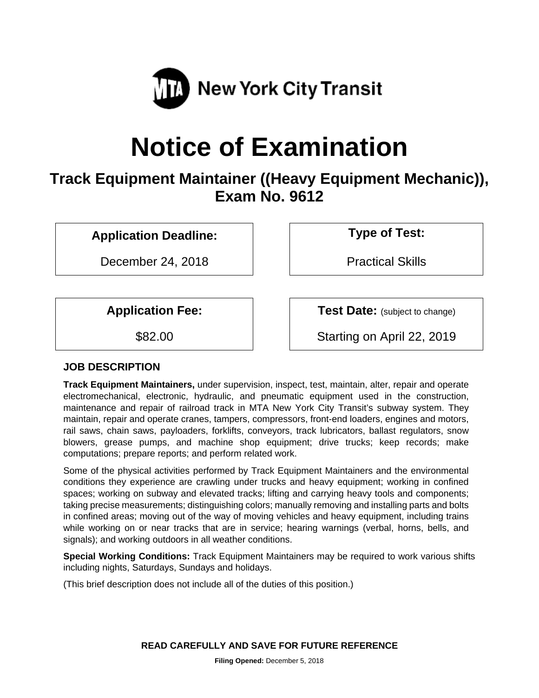

# **Notice of Examination**

## **Track Equipment Maintainer ((Heavy Equipment Mechanic)), Exam No. 9612**

**Application Deadline: Type of Test:**

December 24, 2018 | Practical Skills

**Application Fee:**  $\vert$  **Test Date:** (subject to change)

\$82.00 Starting on April 22, 2019

## **JOB DESCRIPTION**

**Track Equipment Maintainers,** under supervision, inspect, test, maintain, alter, repair and operate electromechanical, electronic, hydraulic, and pneumatic equipment used in the construction, maintenance and repair of railroad track in MTA New York City Transit's subway system. They maintain, repair and operate cranes, tampers, compressors, front-end loaders, engines and motors, rail saws, chain saws, payloaders, forklifts, conveyors, track lubricators, ballast regulators, snow blowers, grease pumps, and machine shop equipment; drive trucks; keep records; make computations; prepare reports; and perform related work.

Some of the physical activities performed by Track Equipment Maintainers and the environmental conditions they experience are crawling under trucks and heavy equipment; working in confined spaces; working on subway and elevated tracks; lifting and carrying heavy tools and components; taking precise measurements; distinguishing colors; manually removing and installing parts and bolts in confined areas; moving out of the way of moving vehicles and heavy equipment, including trains while working on or near tracks that are in service; hearing warnings (verbal, horns, bells, and signals); and working outdoors in all weather conditions.

**Special Working Conditions:** Track Equipment Maintainers may be required to work various shifts including nights, Saturdays, Sundays and holidays.

(This brief description does not include all of the duties of this position.)

**READ CAREFULLY AND SAVE FOR FUTURE REFERENCE**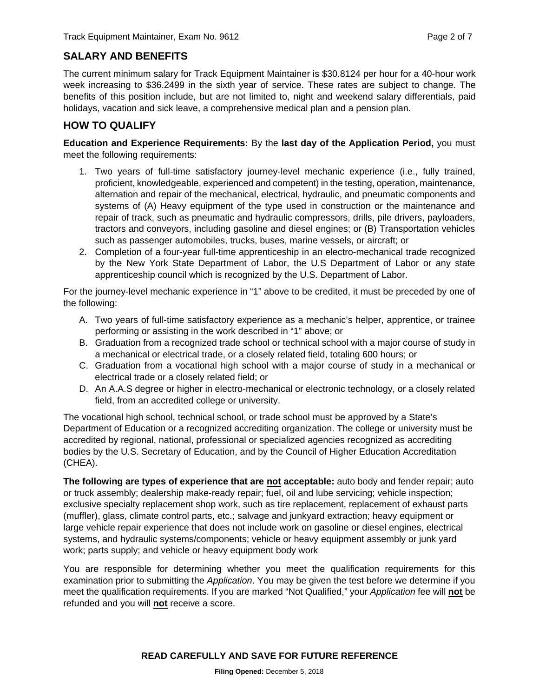## **SALARY AND BENEFITS**

The current minimum salary for Track Equipment Maintainer is \$30.8124 per hour for a 40-hour work week increasing to \$36.2499 in the sixth year of service. These rates are subject to change. The benefits of this position include, but are not limited to, night and weekend salary differentials, paid holidays, vacation and sick leave, a comprehensive medical plan and a pension plan.

## **HOW TO QUALIFY**

**Education and Experience Requirements:** By the **last day of the Application Period,** you must meet the following requirements:

- 1. Two years of full-time satisfactory journey-level mechanic experience (i.e., fully trained, proficient, knowledgeable, experienced and competent) in the testing, operation, maintenance, alternation and repair of the mechanical, electrical, hydraulic, and pneumatic components and systems of (A) Heavy equipment of the type used in construction or the maintenance and repair of track, such as pneumatic and hydraulic compressors, drills, pile drivers, payloaders, tractors and conveyors, including gasoline and diesel engines; or (B) Transportation vehicles such as passenger automobiles, trucks, buses, marine vessels, or aircraft; or
- 2. Completion of a four-year full-time apprenticeship in an electro-mechanical trade recognized by the New York State Department of Labor, the U.S Department of Labor or any state apprenticeship council which is recognized by the U.S. Department of Labor.

For the journey-level mechanic experience in "1" above to be credited, it must be preceded by one of the following:

- A. Two years of full-time satisfactory experience as a mechanic's helper, apprentice, or trainee performing or assisting in the work described in "1" above; or
- B. Graduation from a recognized trade school or technical school with a major course of study in a mechanical or electrical trade, or a closely related field, totaling 600 hours; or
- C. Graduation from a vocational high school with a major course of study in a mechanical or electrical trade or a closely related field; or
- D. An A.A.S degree or higher in electro-mechanical or electronic technology, or a closely related field, from an accredited college or university.

The vocational high school, technical school, or trade school must be approved by a State's Department of Education or a recognized accrediting organization. The college or university must be accredited by regional, national, professional or specialized agencies recognized as accrediting bodies by the U.S. Secretary of Education, and by the Council of Higher Education Accreditation (CHEA).

**The following are types of experience that are not acceptable:** auto body and fender repair; auto or truck assembly; dealership make-ready repair; fuel, oil and lube servicing; vehicle inspection; exclusive specialty replacement shop work, such as tire replacement, replacement of exhaust parts (muffler), glass, climate control parts, etc.; salvage and junkyard extraction; heavy equipment or large vehicle repair experience that does not include work on gasoline or diesel engines, electrical systems, and hydraulic systems/components; vehicle or heavy equipment assembly or junk yard work; parts supply; and vehicle or heavy equipment body work

You are responsible for determining whether you meet the qualification requirements for this examination prior to submitting the *Application*. You may be given the test before we determine if you meet the qualification requirements. If you are marked "Not Qualified," your *Application* fee will **not** be refunded and you will **not** receive a score.

#### **READ CAREFULLY AND SAVE FOR FUTURE REFERENCE**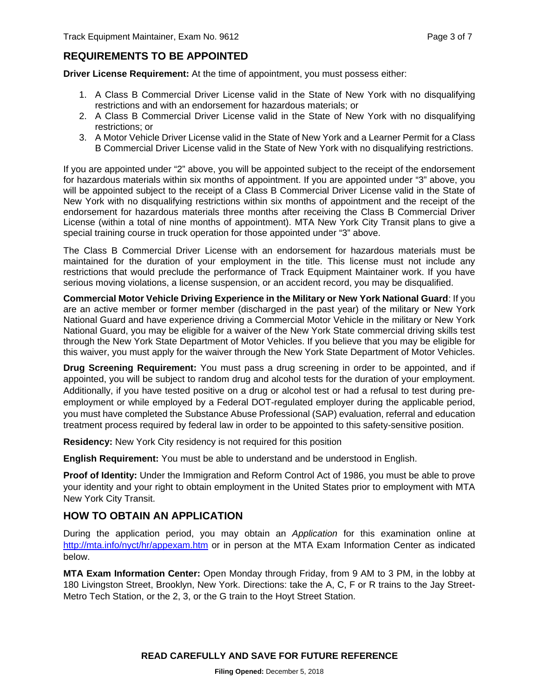## **REQUIREMENTS TO BE APPOINTED**

**Driver License Requirement:** At the time of appointment, you must possess either:

- 1. A Class B Commercial Driver License valid in the State of New York with no disqualifying restrictions and with an endorsement for hazardous materials; or
- 2. A Class B Commercial Driver License valid in the State of New York with no disqualifying restrictions; or
- 3. A Motor Vehicle Driver License valid in the State of New York and a Learner Permit for a Class B Commercial Driver License valid in the State of New York with no disqualifying restrictions.

If you are appointed under "2" above, you will be appointed subject to the receipt of the endorsement for hazardous materials within six months of appointment. If you are appointed under "3" above, you will be appointed subject to the receipt of a Class B Commercial Driver License valid in the State of New York with no disqualifying restrictions within six months of appointment and the receipt of the endorsement for hazardous materials three months after receiving the Class B Commercial Driver License (within a total of nine months of appointment). MTA New York City Transit plans to give a special training course in truck operation for those appointed under "3" above.

The Class B Commercial Driver License with an endorsement for hazardous materials must be maintained for the duration of your employment in the title. This license must not include any restrictions that would preclude the performance of Track Equipment Maintainer work. If you have serious moving violations, a license suspension, or an accident record, you may be disqualified.

**Commercial Motor Vehicle Driving Experience in the Military or New York National Guard**: If you are an active member or former member (discharged in the past year) of the military or New York National Guard and have experience driving a Commercial Motor Vehicle in the military or New York National Guard, you may be eligible for a waiver of the New York State commercial driving skills test through the New York State Department of Motor Vehicles. If you believe that you may be eligible for this waiver, you must apply for the waiver through the New York State Department of Motor Vehicles.

**Drug Screening Requirement:** You must pass a drug screening in order to be appointed, and if appointed, you will be subject to random drug and alcohol tests for the duration of your employment. Additionally, if you have tested positive on a drug or alcohol test or had a refusal to test during preemployment or while employed by a Federal DOT-regulated employer during the applicable period, you must have completed the Substance Abuse Professional (SAP) evaluation, referral and education treatment process required by federal law in order to be appointed to this safety-sensitive position.

**Residency:** New York City residency is not required for this position

**English Requirement:** You must be able to understand and be understood in English.

**Proof of Identity:** Under the Immigration and Reform Control Act of 1986, you must be able to prove your identity and your right to obtain employment in the United States prior to employment with MTA New York City Transit.

## **HOW TO OBTAIN AN APPLICATION**

During the application period, you may obtain an *Application* for this examination online at <http://mta.info/nyct/hr/appexam.htm> or in person at the MTA Exam Information Center as indicated below.

**MTA Exam Information Center:** Open Monday through Friday, from 9 AM to 3 PM, in the lobby at 180 Livingston Street, Brooklyn, New York. Directions: take the A, C, F or R trains to the Jay Street-Metro Tech Station, or the 2, 3, or the G train to the Hoyt Street Station.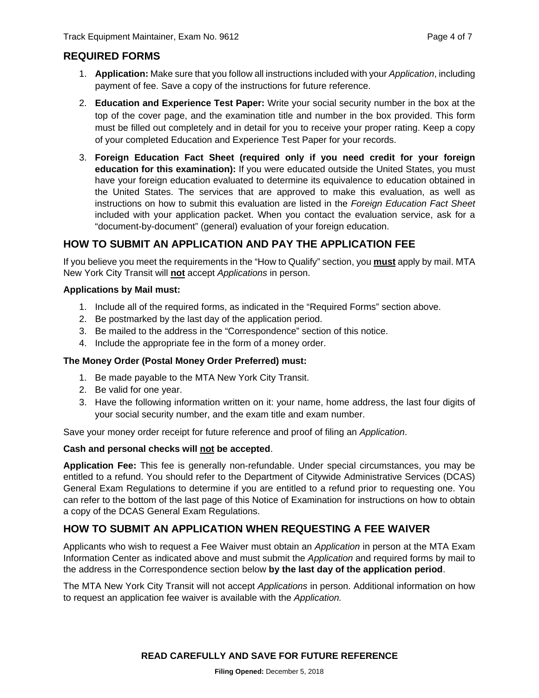## **REQUIRED FORMS**

- 1. **Application:** Make sure that you follow all instructions included with your *Application*, including payment of fee. Save a copy of the instructions for future reference.
- 2. **Education and Experience Test Paper:** Write your social security number in the box at the top of the cover page, and the examination title and number in the box provided. This form must be filled out completely and in detail for you to receive your proper rating. Keep a copy of your completed Education and Experience Test Paper for your records.
- 3. **Foreign Education Fact Sheet (required only if you need credit for your foreign education for this examination):** If you were educated outside the United States, you must have your foreign education evaluated to determine its equivalence to education obtained in the United States. The services that are approved to make this evaluation, as well as instructions on how to submit this evaluation are listed in the *Foreign Education Fact Sheet* included with your application packet. When you contact the evaluation service, ask for a "document-by-document" (general) evaluation of your foreign education.

## **HOW TO SUBMIT AN APPLICATION AND PAY THE APPLICATION FEE**

If you believe you meet the requirements in the "How to Qualify" section, you **must** apply by mail. MTA New York City Transit will **not** accept *Applications* in person.

#### **Applications by Mail must:**

- 1. Include all of the required forms, as indicated in the "Required Forms" section above.
- 2. Be postmarked by the last day of the application period.
- 3. Be mailed to the address in the "Correspondence" section of this notice.
- 4. Include the appropriate fee in the form of a money order.

#### **The Money Order (Postal Money Order Preferred) must:**

- 1. Be made payable to the MTA New York City Transit.
- 2. Be valid for one year.
- 3. Have the following information written on it: your name, home address, the last four digits of your social security number, and the exam title and exam number.

Save your money order receipt for future reference and proof of filing an *Application*.

#### **Cash and personal checks will not be accepted**.

**Application Fee:** This fee is generally non-refundable. Under special circumstances, you may be entitled to a refund. You should refer to the Department of Citywide Administrative Services (DCAS) General Exam Regulations to determine if you are entitled to a refund prior to requesting one. You can refer to the bottom of the last page of this Notice of Examination for instructions on how to obtain a copy of the DCAS General Exam Regulations.

## **HOW TO SUBMIT AN APPLICATION WHEN REQUESTING A FEE WAIVER**

Applicants who wish to request a Fee Waiver must obtain an *Application* in person at the MTA Exam Information Center as indicated above and must submit the *Application* and required forms by mail to the address in the Correspondence section below **by the last day of the application period**.

The MTA New York City Transit will not accept *Applications* in person. Additional information on how to request an application fee waiver is available with the *Application.*

## **READ CAREFULLY AND SAVE FOR FUTURE REFERENCE**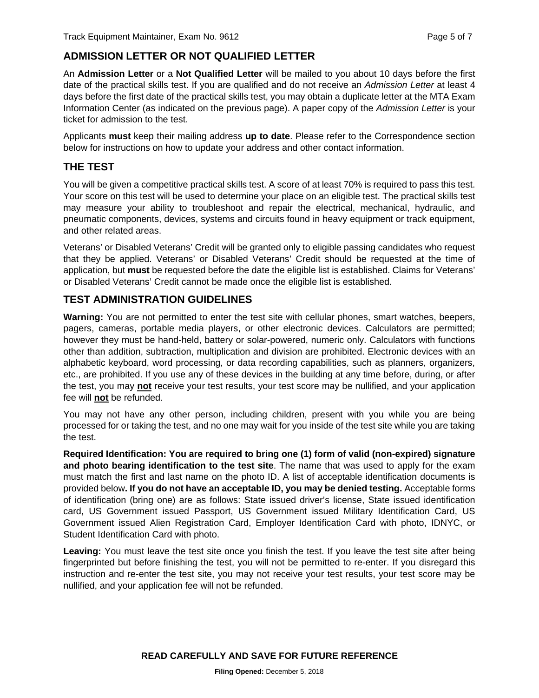## **ADMISSION LETTER OR NOT QUALIFIED LETTER**

An **Admission Letter** or a **Not Qualified Letter** will be mailed to you about 10 days before the first date of the practical skills test. If you are qualified and do not receive an *Admission Letter* at least 4 days before the first date of the practical skills test, you may obtain a duplicate letter at the MTA Exam Information Center (as indicated on the previous page). A paper copy of the *Admission Letter* is your ticket for admission to the test.

Applicants **must** keep their mailing address **up to date**. Please refer to the Correspondence section below for instructions on how to update your address and other contact information.

## **THE TEST**

You will be given a competitive practical skills test. A score of at least 70% is required to pass this test. Your score on this test will be used to determine your place on an eligible test. The practical skills test may measure your ability to troubleshoot and repair the electrical, mechanical, hydraulic, and pneumatic components, devices, systems and circuits found in heavy equipment or track equipment, and other related areas.

Veterans' or Disabled Veterans' Credit will be granted only to eligible passing candidates who request that they be applied. Veterans' or Disabled Veterans' Credit should be requested at the time of application, but **must** be requested before the date the eligible list is established. Claims for Veterans' or Disabled Veterans' Credit cannot be made once the eligible list is established.

## **TEST ADMINISTRATION GUIDELINES**

**Warning:** You are not permitted to enter the test site with cellular phones, smart watches, beepers, pagers, cameras, portable media players, or other electronic devices. Calculators are permitted; however they must be hand-held, battery or solar-powered, numeric only. Calculators with functions other than addition, subtraction, multiplication and division are prohibited. Electronic devices with an alphabetic keyboard, word processing, or data recording capabilities, such as planners, organizers, etc., are prohibited. If you use any of these devices in the building at any time before, during, or after the test, you may **not** receive your test results, your test score may be nullified, and your application fee will **not** be refunded.

You may not have any other person, including children, present with you while you are being processed for or taking the test, and no one may wait for you inside of the test site while you are taking the test.

**Required Identification: You are required to bring one (1) form of valid (non-expired) signature and photo bearing identification to the test site**. The name that was used to apply for the exam must match the first and last name on the photo ID. A list of acceptable identification documents is provided below**. If you do not have an acceptable ID, you may be denied testing.** Acceptable forms of identification (bring one) are as follows: State issued driver's license, State issued identification card, US Government issued Passport, US Government issued Military Identification Card, US Government issued Alien Registration Card, Employer Identification Card with photo, IDNYC, or Student Identification Card with photo.

**Leaving:** You must leave the test site once you finish the test. If you leave the test site after being fingerprinted but before finishing the test, you will not be permitted to re-enter. If you disregard this instruction and re-enter the test site, you may not receive your test results, your test score may be nullified, and your application fee will not be refunded.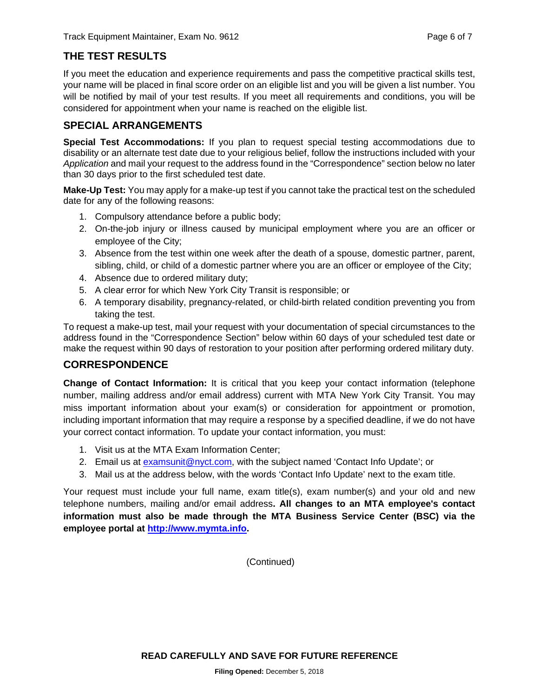## **THE TEST RESULTS**

If you meet the education and experience requirements and pass the competitive practical skills test, your name will be placed in final score order on an eligible list and you will be given a list number. You will be notified by mail of your test results. If you meet all requirements and conditions, you will be considered for appointment when your name is reached on the eligible list.

## **SPECIAL ARRANGEMENTS**

**Special Test Accommodations:** If you plan to request special testing accommodations due to disability or an alternate test date due to your religious belief, follow the instructions included with your *Application* and mail your request to the address found in the "Correspondence" section below no later than 30 days prior to the first scheduled test date.

**Make-Up Test:** You may apply for a make-up test if you cannot take the practical test on the scheduled date for any of the following reasons:

- 1. Compulsory attendance before a public body;
- 2. On-the-job injury or illness caused by municipal employment where you are an officer or employee of the City;
- 3. Absence from the test within one week after the death of a spouse, domestic partner, parent, sibling, child, or child of a domestic partner where you are an officer or employee of the City;
- 4. Absence due to ordered military duty;
- 5. A clear error for which New York City Transit is responsible; or
- 6. A temporary disability, pregnancy-related, or child-birth related condition preventing you from taking the test.

To request a make-up test, mail your request with your documentation of special circumstances to the address found in the "Correspondence Section" below within 60 days of your scheduled test date or make the request within 90 days of restoration to your position after performing ordered military duty.

## **CORRESPONDENCE**

**Change of Contact Information:** It is critical that you keep your contact information (telephone number, mailing address and/or email address) current with MTA New York City Transit. You may miss important information about your exam(s) or consideration for appointment or promotion, including important information that may require a response by a specified deadline, if we do not have your correct contact information. To update your contact information, you must:

- 1. Visit us at the MTA Exam Information Center;
- 2. Email us at [examsunit@nyct.com,](mailto:examsunit@nyct.com) with the subject named 'Contact Info Update'; or
- 3. Mail us at the address below, with the words 'Contact Info Update' next to the exam title.

Your request must include your full name, exam title(s), exam number(s) and your old and new telephone numbers, mailing and/or email address**. All changes to an MTA employee's contact information must also be made through the MTA Business Service Center (BSC) via the employee portal at [http://www.mymta.info.](http://www.mymta.info/)** 

(Continued)